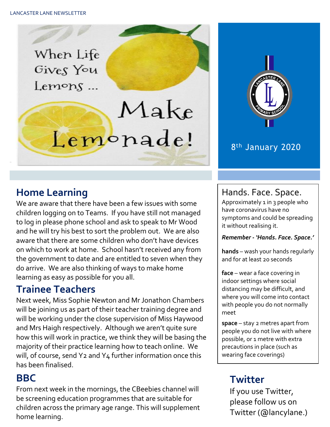When Life Gives You  $L$ emons ...

# Make Lemonade!



#### 8<sup>th</sup> January 2020

# **Home Learning**

We are aware that there have been a few issues with some children logging on to Teams. If you have still not managed to log in please phone school and ask to speak to Mr Wood and he will try his best to sort the problem out. We are also aware that there are some children who don't have devices on which to work at home. School hasn't received any from the government to date and are entitled to seven when they do arrive. We are also thinking of ways to make home learning as easy as possible for you all.

# **Trainee Teachers**

Next week, Miss Sophie Newton and Mr Jonathon Chambers will be joining us as part of their teacher training degree and will be working under the close supervision of Miss Haywood and Mrs Haigh respectively. Although we aren't quite sure how this will work in practice, we think they will be basing the majority of their practice learning how to teach online. We will, of course, send Y2 and Y4 further information once this has been finalised.

#### **BBC**

From next week in the mornings, the CBeebies channel will be screening education programmes that are suitable for children across the primary age range. This will supplement home learning.

#### Hands. Face. Space.

Approximately 1 in 3 people who have coronavirus have no symptoms and could be spreading it without realising it.

#### *Remember - 'Hands. Face. Space.'*

**hands** – wash your hands regularly and for at least 20 seconds

**face** – wear a face covering in indoor settings where social distancing may be difficult, and where you will come into contact with people you do not normally meet

**space** – stay 2 metres apart from people you do not live with where possible, or 1 metre with extra precautions in place (such as wearing face coverings)

# **Twitter**

If you use Twitter, please follow us on Twitter (@lancylane.)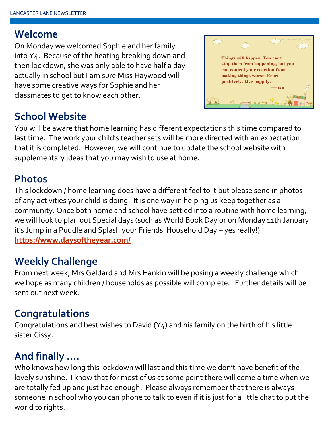#### **Welcome**

On Monday we welcomed Sophie and her family into Y4. Because of the heating breaking down and then lockdown, she was only able to have half a day actually in school but I am sure Miss Haywood will have some creative ways for Sophie and her classmates to get to know each other.



# **School Website**

You will be aware that home learning has different expectations this time compared to last time. The work your child's teacher sets will be more directed with an expectation that it is completed. However, we will continue to update the school website with supplementary ideas that you may wish to use at home.

#### **Photos**

This lockdown / home learning does have a different feel to it but please send in photos of any activities your child is doing. It is one way in helping us keep together as a community. Once both home and school have settled into a routine with home learning, we will look to plan out Special days (such as World Book Day or on Monday 11th January it's Jump in a Puddle and Splash your Friends Household Day - yes really!) **<https://www.daysoftheyear.com/>**

# **Weekly Challenge**

From next week, Mrs Geldard and Mrs Hankin will be posing a weekly challenge which we hope as many children / households as possible will complete. Further details will be sent out next week.

# **Congratulations**

Congratulations and best wishes to David (Y4) and his family on the birth of his little sister Cissy.

# **And finally ….**

Who knows how long this lockdown will last and this time we don't have benefit of the lovely sunshine. I know that for most of us at some point there will come a time when we are totally fed up and just had enough. Please always remember that there is always someone in school who you can phone to talk to even if it is just for a little chat to put the world to rights.